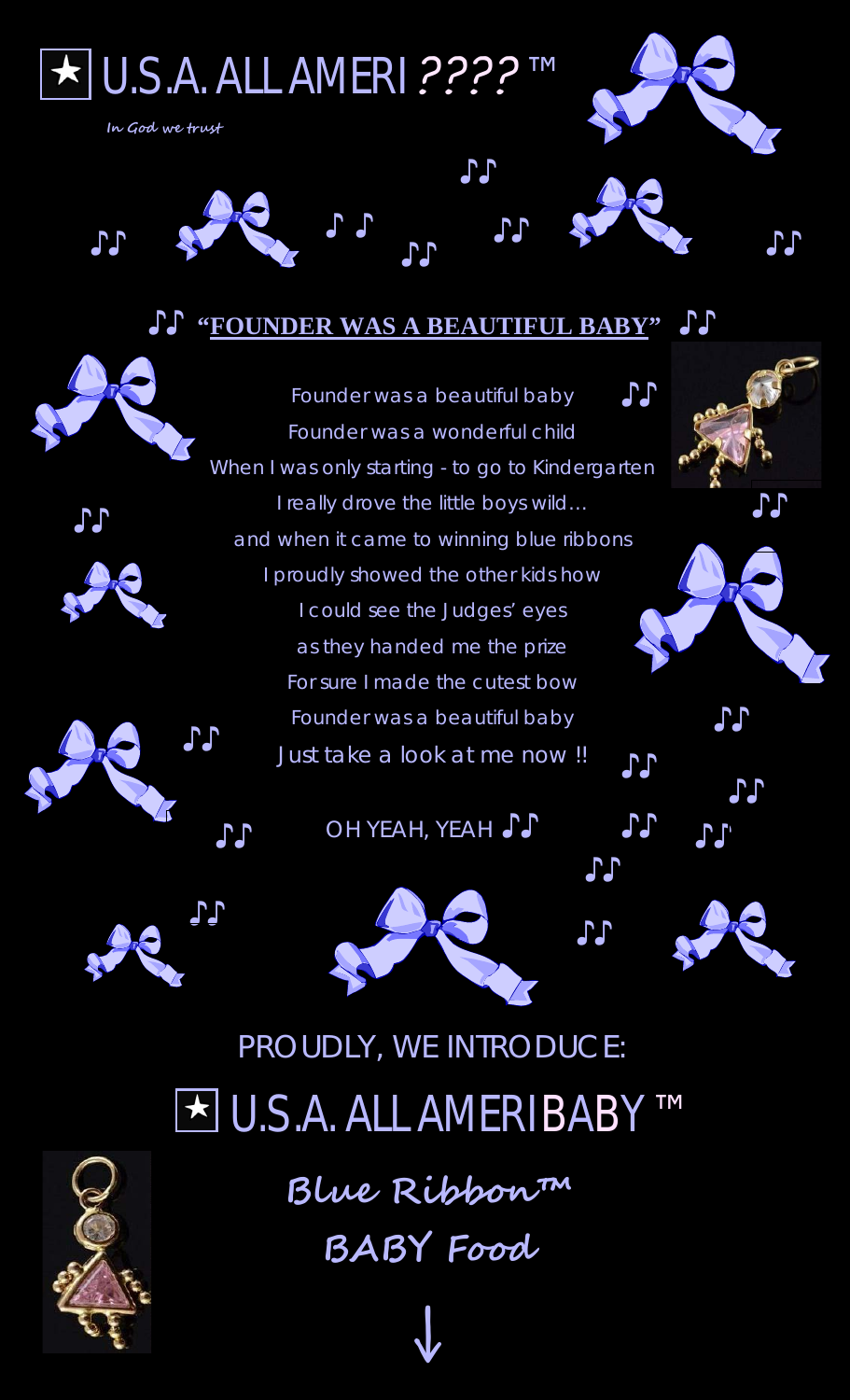

## **♪♪ "FOUNDER WAS A BEAUTIFUL BABY" ♪♪**





**Blue Ribbon™ BABY Food**

↓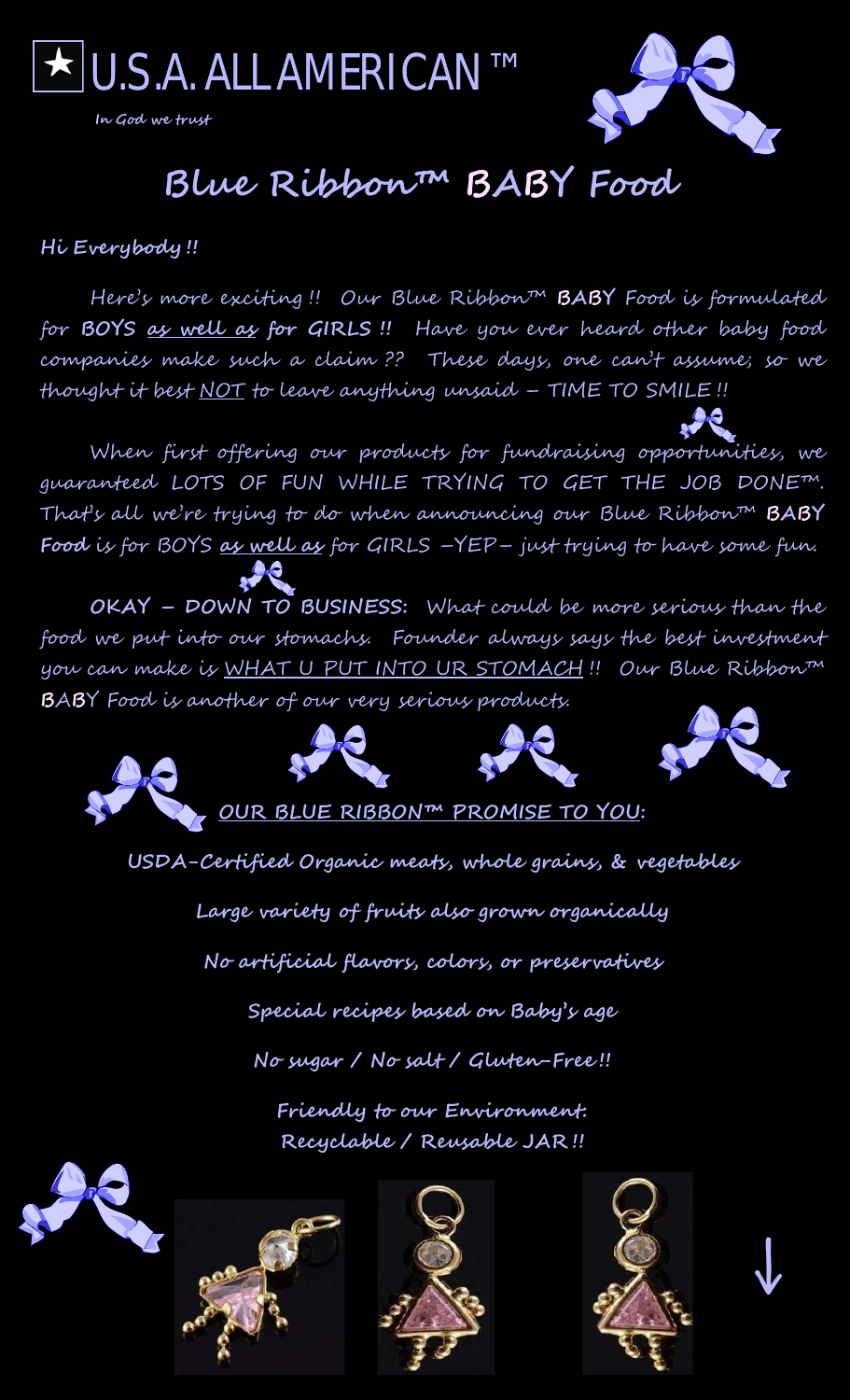

**In God we trust**



# **Blue Ribbon™ BABY Food**

### **Hi Everybody !!**

Here's more exciting !! Our Blue Ribbon™ **BABY** Food is formulated for **BOYS as well as for GIRLS !!** Have you ever heard other baby food companies make such a claim ?? These days, one can't assume; so we thought it best <u>NOT</u> to leave anything unsaid - TIME TO SMILE!!

When first offering our products for fundraising opportunities, we guaranteed LOTS OF FUN WHILE TRYING TO GET THE JOB DONE™. That's all we're trying to do when announcing our Blue Ribbon™ **BABY Food** is for BOYS **as well as** for GIRLS –YEP– just trying to have some fun.

**OKAY – DOWN TO BUSINESS:** What could be more serious than the food we put into our stomachs. Founder always says the best investment you can make is WHAT U PUT INTO UR STOMACH !! Our Blue Ribbon™ **B**A**B**Y Food is another of our very serious products.



**USDA-Certified Organic meats, whole grains, & vegetables**

**Large variety of fruits also grown organically**

**No artificial flavors, colors, or preservatives**

**Special recipes based on Baby's age**

**No sugar / No salt / Gluten-Free !!**

**Friendly to our Environment: Recyclable / Reusable JAR !!**









↓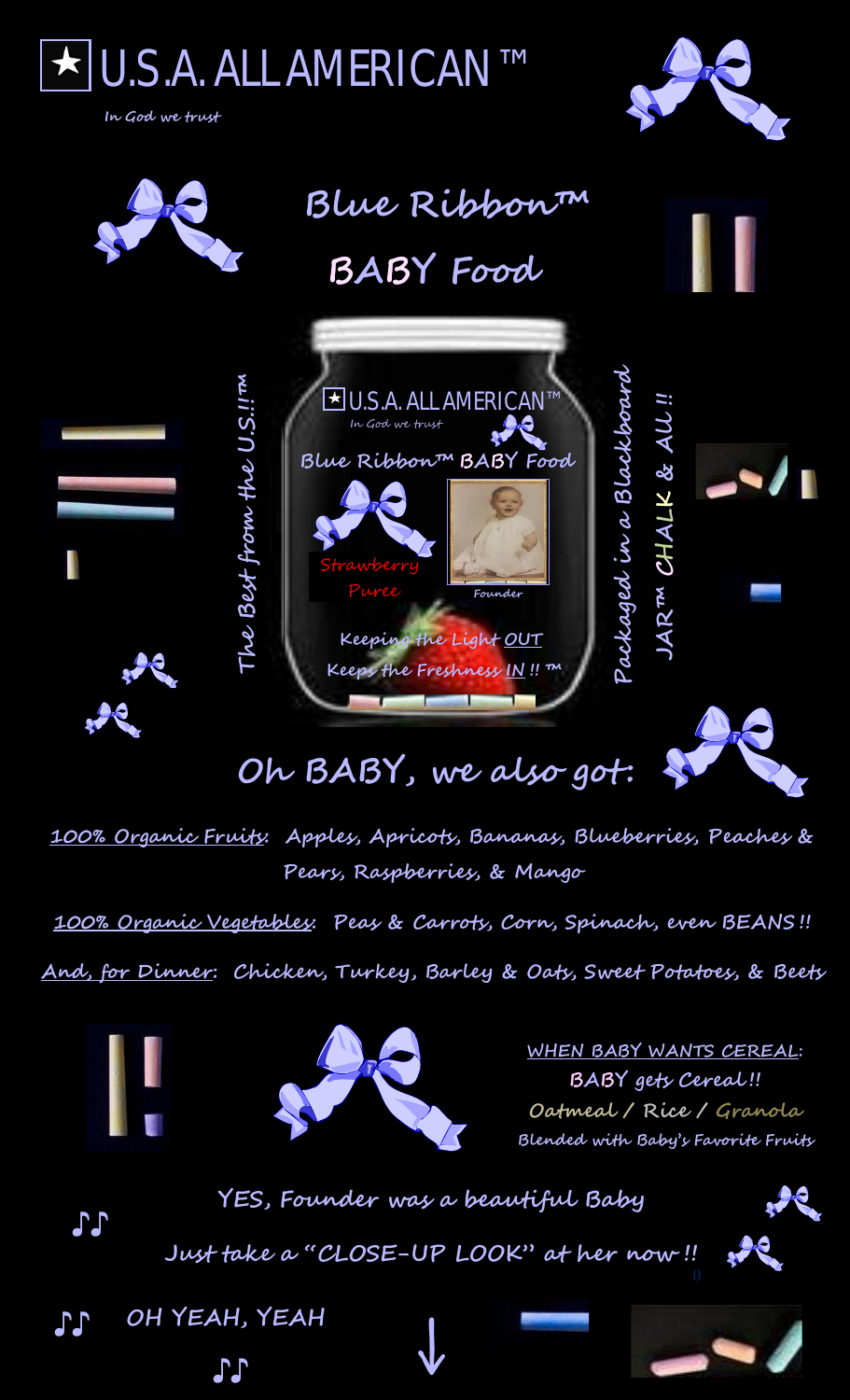

**100% Organic Fruits: Apples, Apricots, Bananas, Blueberries, Peaches & Pears, Raspberries, & Mango**

**100% Organic Vegetables: Peas & Carrots, Corn, Spinach, even BEANS !!**

**And, for Dinner: Chicken, Turkey, Barley & Oats, Sweet Potatoes, & Beets**



**WHEN BABY WANTS CEREAL: BABY gets Cereal !! Oatmeal / Rice / Granola Blended with Baby's Favorite Fruits**

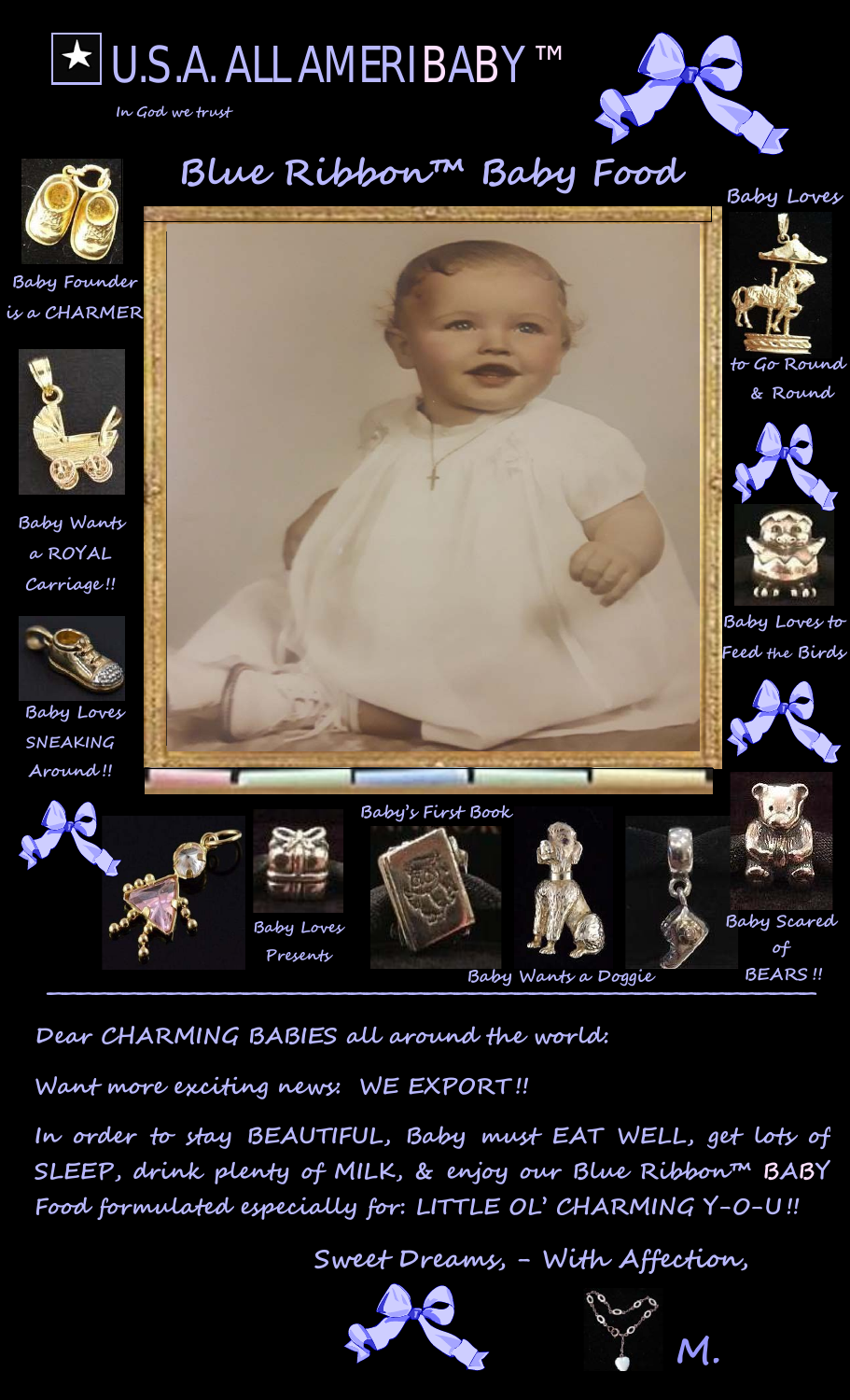

**In God we trust**





**Dear CHARMING BABIES all around the world:** 

**Want more exciting news: WE EXPORT !!** 

**In order to stay BEAUTIFUL, Baby must EAT WELL, get lots of SLEEP, drink plenty of MILK, & enjoy our Blue Ribbon™ BABY Food formulated especially for: LITTLE OL' CHARMING Y-O-U !!**

 **Sweet Dreams, - With Affection,**